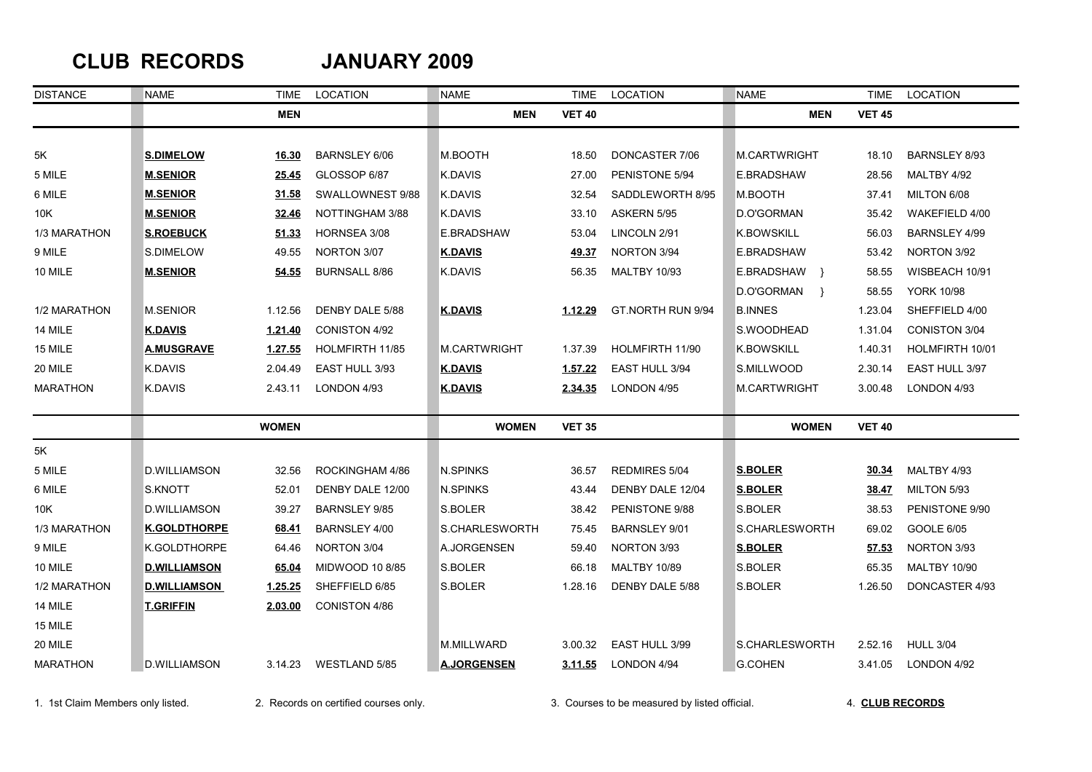## **CLUB RECORDS JANUARY 2009**

| <b>DISTANCE</b> | <b>NAME</b>         | TIME           | LOCATION             | <b>NAME</b>         | <b>TIME</b>   | LOCATION             | <b>NAME</b>         | <b>TIME</b>   | LOCATION             |
|-----------------|---------------------|----------------|----------------------|---------------------|---------------|----------------------|---------------------|---------------|----------------------|
|                 |                     | <b>MEN</b>     |                      | <b>MEN</b>          | <b>VET 40</b> |                      | <b>MEN</b>          | <b>VET 45</b> |                      |
|                 |                     |                |                      |                     |               |                      |                     |               |                      |
| 5K              | <b>S.DIMELOW</b>    | 16.30          | <b>BARNSLEY 6/06</b> | M.BOOTH             | 18.50         | DONCASTER 7/06       | <b>M.CARTWRIGHT</b> | 18.10         | <b>BARNSLEY 8/93</b> |
| 5 MILE          | <b>M.SENIOR</b>     | 25.45          | GLOSSOP 6/87         | K.DAVIS             | 27.00         | PENISTONE 5/94       | E.BRADSHAW          | 28.56         | MALTBY 4/92          |
| 6 MILE          | <b>M.SENIOR</b>     | 31.58          | SWALLOWNEST 9/88     | K.DAVIS             | 32.54         | SADDLEWORTH 8/95     | M.BOOTH             | 37.41         | MILTON 6/08          |
| 10K             | <b>M.SENIOR</b>     | 32.46          | NOTTINGHAM 3/88      | K.DAVIS             | 33.10         | ASKERN 5/95          | D.O'GORMAN          | 35.42         | WAKEFIELD 4/00       |
| 1/3 MARATHON    | <b>S.ROEBUCK</b>    | 51.33          | HORNSEA 3/08         | E.BRADSHAW          | 53.04         | LINCOLN 2/91         | <b>K.BOWSKILL</b>   | 56.03         | BARNSLEY 4/99        |
| 9 MILE          | S.DIMELOW           | 49.55          | NORTON 3/07          | <b>K.DAVIS</b>      | <u>49.37</u>  | NORTON 3/94          | E.BRADSHAW          | 53.42         | NORTON 3/92          |
| 10 MILE         | <b>M.SENIOR</b>     | 54.55          | <b>BURNSALL 8/86</b> | K.DAVIS             | 56.35         | <b>MALTBY 10/93</b>  | E.BRADSHAW }        | 58.55         | WISBEACH 10/91       |
|                 |                     |                |                      |                     |               |                      | D.O'GORMAN }        | 58.55         | <b>YORK 10/98</b>    |
| 1/2 MARATHON    | <b>M.SENIOR</b>     | 1.12.56        | DENBY DALE 5/88      | <b>K.DAVIS</b>      | 1.12.29       | GT.NORTH RUN 9/94    | <b>B.INNES</b>      | 1.23.04       | SHEFFIELD 4/00       |
| 14 MILE         | <b>K.DAVIS</b>      | 1.21.40        | <b>CONISTON 4/92</b> |                     |               |                      | S.WOODHEAD          | 1.31.04       | CONISTON 3/04        |
| 15 MILE         | <b>A.MUSGRAVE</b>   | <u>1.27.55</u> | HOLMFIRTH 11/85      | <b>M.CARTWRIGHT</b> | 1.37.39       | HOLMFIRTH 11/90      | <b>K.BOWSKILL</b>   | 1.40.31       | HOLMFIRTH 10/01      |
| 20 MILE         | K.DAVIS             | 2.04.49        | EAST HULL 3/93       | <b>K.DAVIS</b>      | 1.57.22       | EAST HULL 3/94       | S.MILLWOOD          | 2.30.14       | EAST HULL 3/97       |
| <b>MARATHON</b> | K.DAVIS             | 2.43.11        | LONDON 4/93          | <b>K.DAVIS</b>      | 2.34.35       | LONDON 4/95          | <b>M.CARTWRIGHT</b> | 3.00.48       | LONDON 4/93          |
|                 |                     | <b>WOMEN</b>   |                      | <b>WOMEN</b>        | <b>VET 35</b> |                      | <b>WOMEN</b>        | <b>VET 40</b> |                      |
| 5K              |                     |                |                      |                     |               |                      |                     |               |                      |
| 5 MILE          | D.WILLIAMSON        | 32.56          | ROCKINGHAM 4/86      | <b>N.SPINKS</b>     | 36.57         | <b>REDMIRES 5/04</b> | <b>S.BOLER</b>      | 30.34         | MALTBY 4/93          |
| 6 MILE          | S.KNOTT             | 52.01          | DENBY DALE 12/00     | N.SPINKS            | 43.44         | DENBY DALE 12/04     | <b>S.BOLER</b>      | 38.47         | MILTON 5/93          |
| 10K             | <b>D.WILLIAMSON</b> | 39.27          | <b>BARNSLEY 9/85</b> | S.BOLER             | 38.42         | PENISTONE 9/88       | S.BOLER             | 38.53         | PENISTONE 9/90       |
| 1/3 MARATHON    | <b>K.GOLDTHORPE</b> | 68.41          | BARNSLEY 4/00        | S.CHARLESWORTH      | 75.45         | BARNSLEY 9/01        | S.CHARLESWORTH      | 69.02         | GOOLE 6/05           |
| 9 MILE          | K.GOLDTHORPE        | 64.46          | NORTON 3/04          | A.JORGENSEN         | 59.40         | NORTON 3/93          | <b>S.BOLER</b>      | 57.53         | NORTON 3/93          |
| 10 MILE         | <b>D.WILLIAMSON</b> | 65.04          | MIDWOOD 10 8/85      | S.BOLER             | 66.18         | <b>MALTBY 10/89</b>  | S.BOLER             | 65.35         | <b>MALTBY 10/90</b>  |
| 1/2 MARATHON    | <b>D.WILLIAMSON</b> | 1.25.25        | SHEFFIELD 6/85       | S.BOLER             | 1.28.16       | DENBY DALE 5/88      | S.BOLER             | 1.26.50       | DONCASTER 4/93       |
| 14 MILE         | <b>T.GRIFFIN</b>    | 2.03.00        | CONISTON 4/86        |                     |               |                      |                     |               |                      |
| 15 MILE         |                     |                |                      |                     |               |                      |                     |               |                      |
| 20 MILE         |                     |                |                      | M.MILLWARD          | 3.00.32       | EAST HULL 3/99       | S.CHARLESWORTH      | 2.52.16       | <b>HULL 3/04</b>     |
| <b>MARATHON</b> | <b>D.WILLIAMSON</b> | 3.14.23        | WESTLAND 5/85        | <b>A.JORGENSEN</b>  | 3.11.55       | LONDON 4/94          | <b>G.COHEN</b>      | 3.41.05       | LONDON 4/92          |

1. 1st Claim Members only listed. 2. Records on certified courses only. 3. Courses to be measured by listed official. 4. **CLUB RECORDS**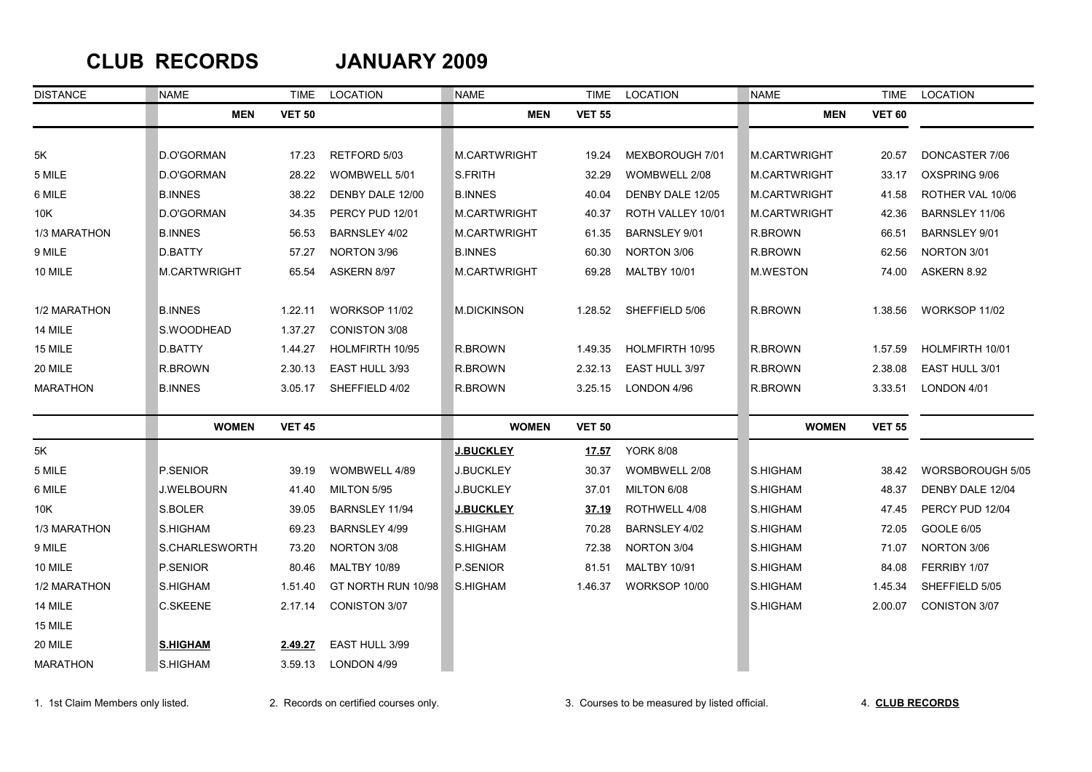### **CLUB RECORDS JANUARY 2009**

| <b>DISTANCE</b> | <b>NAME</b>         | TIME          | LOCATION             | <b>NAME</b>        | TIME          | LOCATION            | <b>NAME</b>         | TIME          | LOCATION             |
|-----------------|---------------------|---------------|----------------------|--------------------|---------------|---------------------|---------------------|---------------|----------------------|
|                 | <b>MEN</b>          | <b>VET 50</b> |                      | <b>MEN</b>         | <b>VET 55</b> |                     | <b>MEN</b>          | <b>VET 60</b> |                      |
|                 |                     |               |                      |                    |               |                     |                     |               |                      |
| 5K              | D.O'GORMAN          | 17.23         | RETFORD 5/03         | M.CARTWRIGHT       | 19.24         | MEXBOROUGH 7/01     | M.CARTWRIGHT        | 20.57         | DONCASTER 7/06       |
| 5 MILE          | D.O'GORMAN          | 28.22         | WOMBWELL 5/01        | S.FRITH            | 32.29         | WOMBWELL 2/08       | <b>M.CARTWRIGHT</b> | 33.17         | OXSPRING 9/06        |
| 6 MILE          | <b>B.INNES</b>      | 38.22         | DENBY DALE 12/00     | <b>B.INNES</b>     | 40.04         | DENBY DALE 12/05    | <b>M.CARTWRIGHT</b> | 41.58         | ROTHER VAL 10/06     |
| 10K             | D.O'GORMAN          | 34.35         | PERCY PUD 12/01      | M.CARTWRIGHT       | 40.37         | ROTH VALLEY 10/01   | M.CARTWRIGHT        | 42.36         | BARNSLEY 11/06       |
| 1/3 MARATHON    | <b>B.INNES</b>      | 56.53         | BARNSLEY 4/02        | M.CARTWRIGHT       | 61.35         | BARNSLEY 9/01       | R.BROWN             | 66.51         | <b>BARNSLEY 9/01</b> |
| 9 MILE          | D.BATTY             | 57.27         | NORTON 3/96          | <b>B.INNES</b>     | 60.30         | NORTON 3/06         | R.BROWN             | 62.56         | NORTON 3/01          |
| 10 MILE         | <b>M.CARTWRIGHT</b> | 65.54         | ASKERN 8/97          | M.CARTWRIGHT       | 69.28         | <b>MALTBY 10/01</b> | <b>M.WESTON</b>     | 74.00         | ASKERN 8.92          |
| 1/2 MARATHON    | <b>B.INNES</b>      | 1.22.11       | WORKSOP 11/02        | <b>M.DICKINSON</b> | 1.28.52       | SHEFFIELD 5/06      | R.BROWN             | 1.38.56       | WORKSOP 11/02        |
| 14 MILE         | S.WOODHEAD          | 1.37.27       | <b>CONISTON 3/08</b> |                    |               |                     |                     |               |                      |
| 15 MILE         | D.BATTY             | 1.44.27       | HOLMFIRTH 10/95      | R.BROWN            | 1.49.35       | HOLMFIRTH 10/95     | R.BROWN             | 1.57.59       | HOLMFIRTH 10/01      |
| 20 MILE         | R.BROWN             | 2.30.13       | EAST HULL 3/93       | R.BROWN            | 2.32.13       | EAST HULL 3/97      | R.BROWN             | 2.38.08       | EAST HULL 3/01       |
| <b>MARATHON</b> | <b>B.INNES</b>      | 3.05.17       | SHEFFIELD 4/02       | R.BROWN            | 3.25.15       | LONDON 4/96         | R.BROWN             | 3.33.51       | LONDON 4/01          |
|                 | <b>WOMEN</b>        | <b>VET 45</b> |                      | <b>WOMEN</b>       | <b>VET 50</b> |                     | <b>WOMEN</b>        | <b>VET 55</b> |                      |
| 5K              |                     |               |                      | <b>J.BUCKLEY</b>   | <u>17.57</u>  | <b>YORK 8/08</b>    |                     |               |                      |
| 5 MILE          | P.SENIOR            | 39.19         | WOMBWELL 4/89        | <b>J.BUCKLEY</b>   | 30.37         | WOMBWELL 2/08       | S.HIGHAM            | 38.42         | WORSBOROUGH 5/05     |
| 6 MILE          | <b>J.WELBOURN</b>   | 41.40         | MILTON 5/95          | <b>J.BUCKLEY</b>   | 37.01         | MILTON 6/08         | S.HIGHAM            | 48.37         | DENBY DALE 12/04     |
| 10K             | S.BOLER             | 39.05         | BARNSLEY 11/94       | <b>J.BUCKLEY</b>   | 37.19         | ROTHWELL 4/08       | S.HIGHAM            | 47.45         | PERCY PUD 12/04      |
| 1/3 MARATHON    | S.HIGHAM            | 69.23         | BARNSLEY 4/99        | S.HIGHAM           | 70.28         | BARNSLEY 4/02       | S.HIGHAM            | 72.05         | GOOLE 6/05           |
| 9 MILE          | S.CHARLESWORTH      | 73.20         | NORTON 3/08          | S.HIGHAM           | 72.38         | NORTON 3/04         | S.HIGHAM            | 71.07         | NORTON 3/06          |
| 10 MILE         | P.SENIOR            | 80.46         | <b>MALTBY 10/89</b>  | P.SENIOR           | 81.51         | MALTBY 10/91        | S.HIGHAM            | 84.08         | FERRIBY 1/07         |
| 1/2 MARATHON    | S.HIGHAM            | 1.51.40       | GT NORTH RUN 10/98   | S.HIGHAM           | 1.46.37       | WORKSOP 10/00       | S.HIGHAM            | 1.45.34       | SHEFFIELD 5/05       |
| 14 MILE         | <b>C.SKEENE</b>     | 2.17.14       | CONISTON 3/07        |                    |               |                     | S.HIGHAM            | 2.00.07       | <b>CONISTON 3/07</b> |
| 15 MILE         |                     |               |                      |                    |               |                     |                     |               |                      |
| 20 MILE         | <b>S.HIGHAM</b>     | 2.49.27       | EAST HULL 3/99       |                    |               |                     |                     |               |                      |
| <b>MARATHON</b> | S.HIGHAM            | 3.59.13       | LONDON 4/99          |                    |               |                     |                     |               |                      |

1. 1st Claim Members only listed. 2. Records on certified courses only. 3. Courses to be measured by listed official. 4. **CLUB RECORDS**